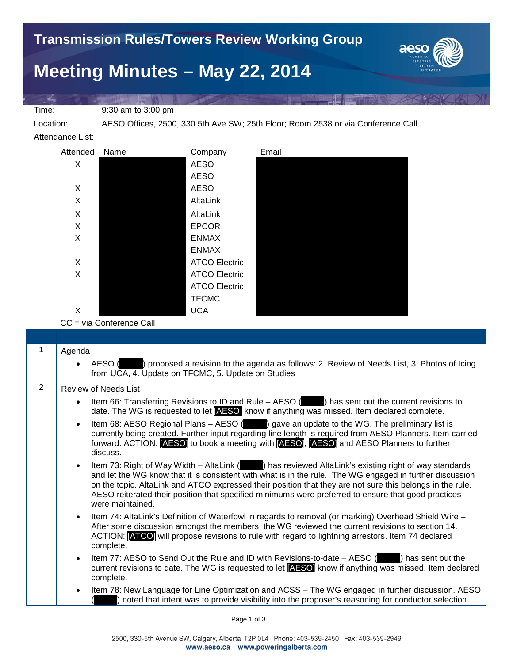Time: 9:30 am to 3:00 pm

Location: AESO Offices, 2500, 330 5th Ave SW; 25th Floor; Room 2538 or via Conference Call

Attendance List:



CC = via Conference Call

|   | Agenda                                                                                                                                                                                                                                                                                                                                                                                                                                                                  |
|---|-------------------------------------------------------------------------------------------------------------------------------------------------------------------------------------------------------------------------------------------------------------------------------------------------------------------------------------------------------------------------------------------------------------------------------------------------------------------------|
|   | AESO () proposed a revision to the agenda as follows: 2. Review of Needs List, 3. Photos of Icing<br>$\bullet$<br>from UCA, 4. Update on TFCMC, 5. Update on Studies                                                                                                                                                                                                                                                                                                    |
| 2 | Review of Needs List                                                                                                                                                                                                                                                                                                                                                                                                                                                    |
|   | Item 66: Transferring Revisions to ID and Rule $-$ AESO ( $\Box$ ) has sent out the current revisions to<br>$\bullet$<br>date. The WG is requested to let <b>AESO</b> know if anything was missed. Item declared complete.                                                                                                                                                                                                                                              |
|   | Item 68: AESO Regional Plans - AESO (Comp) gave an update to the WG. The preliminary list is<br>$\bullet$<br>currently being created. Further input regarding line length is required from AESO Planners. Item carried<br>forward. ACTION: [AESO] to book a meeting with [AESO], [AESO] and AESO Planners to further<br>discuss.                                                                                                                                        |
|   | Item 73: Right of Way Width - AltaLink (Alta ) has reviewed AltaLink's existing right of way standards<br>$\bullet$<br>and let the WG know that it is consistent with what is in the rule. The WG engaged in further discussion<br>on the topic. AltaLink and ATCO expressed their position that they are not sure this belongs in the rule.<br>AESO reiterated their position that specified minimums were preferred to ensure that good practices<br>were maintained. |
|   | Item 74: AltaLink's Definition of Waterfowl in regards to removal (or marking) Overhead Shield Wire -<br>$\bullet$<br>After some discussion amongst the members, the WG reviewed the current revisions to section 14.<br>ACTION: <b>ATCO</b> will propose revisions to rule with regard to lightning arrestors. Item 74 declared<br>complete.                                                                                                                           |
|   | Item 77: AESO to Send Out the Rule and ID with Revisions-to-date – AESO (<br>) has sent out the<br>$\bullet$<br>current revisions to date. The WG is requested to let <b>AESO</b> know if anything was missed. Item declared<br>complete.                                                                                                                                                                                                                               |
|   | Item 78: New Language for Line Optimization and ACSS - The WG engaged in further discussion. AESO<br>$\bullet$<br>noted that intent was to provide visibility into the proposer's reasoning for conductor selection.                                                                                                                                                                                                                                                    |
|   |                                                                                                                                                                                                                                                                                                                                                                                                                                                                         |

Page 1 of 3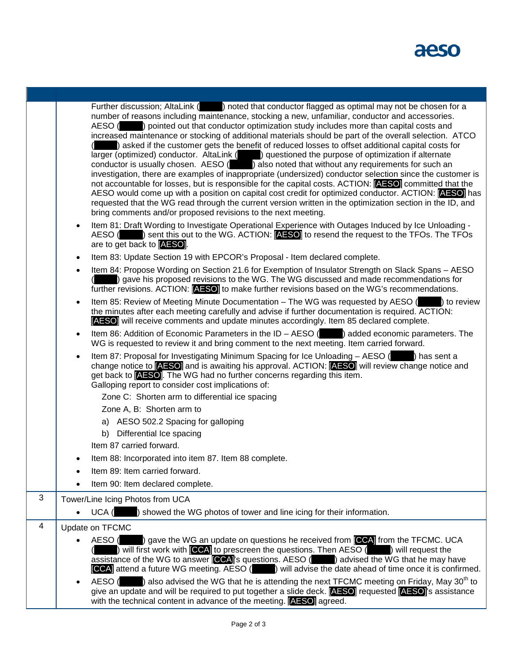

|                | Further discussion; AltaLink (<br>) noted that conductor flagged as optimal may not be chosen for a<br>number of reasons including maintenance, stocking a new, unfamiliar, conductor and accessories.<br>AESO ( ) pointed out that conductor optimization study includes more than capital costs and<br>increased maintenance or stocking of additional materials should be part of the overall selection. ATCO<br>) asked if the customer gets the benefit of reduced losses to offset additional capital costs for<br>larger (optimized) conductor. AltaLink () questioned the purpose of optimization if alternate<br>conductor is usually chosen. $\overline{AESO}$ ( ) also noted that without any requirements for such an<br>investigation, there are examples of inappropriate (undersized) conductor selection since the customer is<br>not accountable for losses, but is responsible for the capital costs. ACTION: [AESO] committed that the<br>AESO would come up with a position on capital cost credit for optimized conductor. ACTION: [AESO] has<br>requested that the WG read through the current version written in the optimization section in the ID, and<br>bring comments and/or proposed revisions to the next meeting. |
|----------------|--------------------------------------------------------------------------------------------------------------------------------------------------------------------------------------------------------------------------------------------------------------------------------------------------------------------------------------------------------------------------------------------------------------------------------------------------------------------------------------------------------------------------------------------------------------------------------------------------------------------------------------------------------------------------------------------------------------------------------------------------------------------------------------------------------------------------------------------------------------------------------------------------------------------------------------------------------------------------------------------------------------------------------------------------------------------------------------------------------------------------------------------------------------------------------------------------------------------------------------------------|
|                | Item 81: Draft Wording to Investigate Operational Experience with Outages Induced by Ice Unloading -<br>$\bullet$<br>AESO () sent this out to the WG. ACTION: <b>AESO</b> to resend the request to the TFOs. The TFOs<br>are to get back to <b>AESO</b> .                                                                                                                                                                                                                                                                                                                                                                                                                                                                                                                                                                                                                                                                                                                                                                                                                                                                                                                                                                                        |
|                | Item 83: Update Section 19 with EPCOR's Proposal - Item declared complete.<br>$\bullet$                                                                                                                                                                                                                                                                                                                                                                                                                                                                                                                                                                                                                                                                                                                                                                                                                                                                                                                                                                                                                                                                                                                                                          |
|                | Item 84: Propose Wording on Section 21.6 for Exemption of Insulator Strength on Slack Spans - AESO<br>$\bullet$<br>) gave his proposed revisions to the WG. The WG discussed and made recommendations for<br>further revisions. ACTION: <b>AESO</b> to make further revisions based on the WG's recommendations.                                                                                                                                                                                                                                                                                                                                                                                                                                                                                                                                                                                                                                                                                                                                                                                                                                                                                                                                 |
|                | Item 85: Review of Meeting Minute Documentation $-$ The WG was requested by AESO $($ $)$ to review<br>$\bullet$<br>the minutes after each meeting carefully and advise if further documentation is required. ACTION:<br>[AESO] will receive comments and update minutes accordingly. Item 85 declared complete.                                                                                                                                                                                                                                                                                                                                                                                                                                                                                                                                                                                                                                                                                                                                                                                                                                                                                                                                  |
|                | Item 86: Addition of Economic Parameters in the ID $-$ AESO ( $\Box$ ) added economic parameters. The<br>WG is requested to review it and bring comment to the next meeting. Item carried forward.                                                                                                                                                                                                                                                                                                                                                                                                                                                                                                                                                                                                                                                                                                                                                                                                                                                                                                                                                                                                                                               |
|                | Item 87: Proposal for Investigating Minimum Spacing for Ice Unloading - AESO () has sent a<br>$\bullet$<br>change notice to <b>AESO</b> and is awaiting his approval. ACTION: <b>AESO</b> will review change notice and<br>get back to <b>AESO</b> . The WG had no further concerns regarding this item.<br>Galloping report to consider cost implications of:                                                                                                                                                                                                                                                                                                                                                                                                                                                                                                                                                                                                                                                                                                                                                                                                                                                                                   |
|                | Zone C: Shorten arm to differential ice spacing                                                                                                                                                                                                                                                                                                                                                                                                                                                                                                                                                                                                                                                                                                                                                                                                                                                                                                                                                                                                                                                                                                                                                                                                  |
|                | Zone A, B: Shorten arm to                                                                                                                                                                                                                                                                                                                                                                                                                                                                                                                                                                                                                                                                                                                                                                                                                                                                                                                                                                                                                                                                                                                                                                                                                        |
|                | a) AESO 502.2 Spacing for galloping                                                                                                                                                                                                                                                                                                                                                                                                                                                                                                                                                                                                                                                                                                                                                                                                                                                                                                                                                                                                                                                                                                                                                                                                              |
|                | b) Differential Ice spacing                                                                                                                                                                                                                                                                                                                                                                                                                                                                                                                                                                                                                                                                                                                                                                                                                                                                                                                                                                                                                                                                                                                                                                                                                      |
|                | Item 87 carried forward.                                                                                                                                                                                                                                                                                                                                                                                                                                                                                                                                                                                                                                                                                                                                                                                                                                                                                                                                                                                                                                                                                                                                                                                                                         |
|                | Item 88: Incorporated into item 87. Item 88 complete.                                                                                                                                                                                                                                                                                                                                                                                                                                                                                                                                                                                                                                                                                                                                                                                                                                                                                                                                                                                                                                                                                                                                                                                            |
|                | Item 89: Item carried forward.                                                                                                                                                                                                                                                                                                                                                                                                                                                                                                                                                                                                                                                                                                                                                                                                                                                                                                                                                                                                                                                                                                                                                                                                                   |
|                | Item 90: Item declared complete.                                                                                                                                                                                                                                                                                                                                                                                                                                                                                                                                                                                                                                                                                                                                                                                                                                                                                                                                                                                                                                                                                                                                                                                                                 |
| 3              | Tower/Line Icing Photos from UCA                                                                                                                                                                                                                                                                                                                                                                                                                                                                                                                                                                                                                                                                                                                                                                                                                                                                                                                                                                                                                                                                                                                                                                                                                 |
|                | UCA (<br>) showed the WG photos of tower and line icing for their information.<br>$\bullet$                                                                                                                                                                                                                                                                                                                                                                                                                                                                                                                                                                                                                                                                                                                                                                                                                                                                                                                                                                                                                                                                                                                                                      |
| $\overline{4}$ | Update on TFCMC                                                                                                                                                                                                                                                                                                                                                                                                                                                                                                                                                                                                                                                                                                                                                                                                                                                                                                                                                                                                                                                                                                                                                                                                                                  |
|                | gave the WG an update on questions he received from CCA from the TFCMC. UCA<br>AESO (                                                                                                                                                                                                                                                                                                                                                                                                                                                                                                                                                                                                                                                                                                                                                                                                                                                                                                                                                                                                                                                                                                                                                            |
|                | ) will first work with <b>[CCA]</b> to prescreen the questions. Then AESO ( ) will request the<br>assistance of the WG to answer [CCA]'s questions. AESO (Netable ) advised the WG that he may have<br><b>CCA</b> attend a future WG meeting. AESO () will advise the date ahead of time once it is confirmed.                                                                                                                                                                                                                                                                                                                                                                                                                                                                                                                                                                                                                                                                                                                                                                                                                                                                                                                                   |
|                | ) also advised the WG that he is attending the next TFCMC meeting on Friday, May 30 <sup>th</sup> to<br>AESO (<br>give an update and will be required to put together a slide deck. [AESO] requested [AESO]'s assistance<br>with the technical content in advance of the meeting. <b>AESO</b> agreed.                                                                                                                                                                                                                                                                                                                                                                                                                                                                                                                                                                                                                                                                                                                                                                                                                                                                                                                                            |